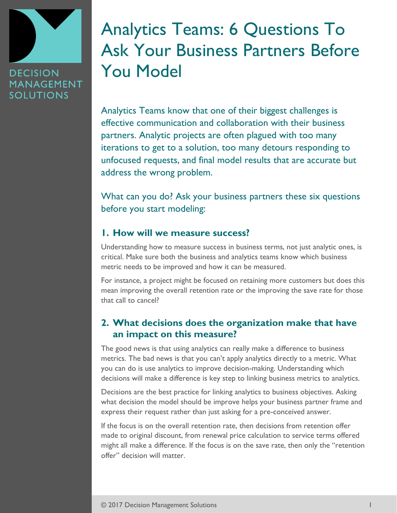

# Analytics Teams: 6 Questions To Ask Your Business Partners Before You Model

Analytics Teams know that one of their biggest challenges is effective communication and collaboration with their business partners. Analytic projects are often plagued with too many iterations to get to a solution, too many detours responding to unfocused requests, and final model results that are accurate but address the wrong problem.

What can you do? Ask your business partners these six questions before you start modeling:

#### **1. How will we measure success?**

Understanding how to measure success in business terms, not just analytic ones, is critical. Make sure both the business and analytics teams know which business metric needs to be improved and how it can be measured.

For instance, a project might be focused on retaining more customers but does this mean improving the overall retention rate or the improving the save rate for those that call to cancel?

## **2. What decisions does the organization make that have an impact on this measure?**

The good news is that using analytics can really make a difference to business metrics. The bad news is that you can't apply analytics directly to a metric. What you can do is use analytics to improve decision-making. Understanding which decisions will make a difference is key step to linking business metrics to analytics.

Decisions are the best practice for linking analytics to business objectives. Asking what decision the model should be improve helps your business partner frame and express their request rather than just asking for a pre-conceived answer.

If the focus is on the overall retention rate, then decisions from retention offer made to original discount, from renewal price calculation to service terms offered might all make a difference. If the focus is on the save rate, then only the "retention offer" decision will matter.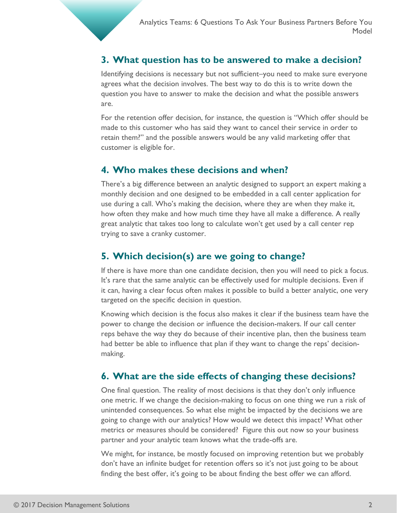### **3. What question has to be answered to make a decision?**

Identifying decisions is necessary but not sufficient–you need to make sure everyone agrees what the decision involves. The best way to do this is to write down the question you have to answer to make the decision and what the possible answers are.

For the retention offer decision, for instance, the question is "Which offer should be made to this customer who has said they want to cancel their service in order to retain them?" and the possible answers would be any valid marketing offer that customer is eligible for.

#### **4. Who makes these decisions and when?**

There's a big difference between an analytic designed to support an expert making a monthly decision and one designed to be embedded in a call center application for use during a call. Who's making the decision, where they are when they make it, how often they make and how much time they have all make a difference. A really great analytic that takes too long to calculate won't get used by a call center rep trying to save a cranky customer.

#### **5. Which decision(s) are we going to change?**

If there is have more than one candidate decision, then you will need to pick a focus. It's rare that the same analytic can be effectively used for multiple decisions. Even if it can, having a clear focus often makes it possible to build a better analytic, one very targeted on the specific decision in question.

Knowing which decision is the focus also makes it clear if the business team have the power to change the decision or influence the decision-makers. If our call center reps behave the way they do because of their incentive plan, then the business team had better be able to influence that plan if they want to change the reps' decisionmaking.

#### **6. What are the side effects of changing these decisions?**

One final question. The reality of most decisions is that they don't only influence one metric. If we change the decision-making to focus on one thing we run a risk of unintended consequences. So what else might be impacted by the decisions we are going to change with our analytics? How would we detect this impact? What other metrics or measures should be considered? Figure this out now so your business partner and your analytic team knows what the trade-offs are.

We might, for instance, be mostly focused on improving retention but we probably don't have an infinite budget for retention offers so it's not just going to be about finding the best offer, it's going to be about finding the best offer we can afford.